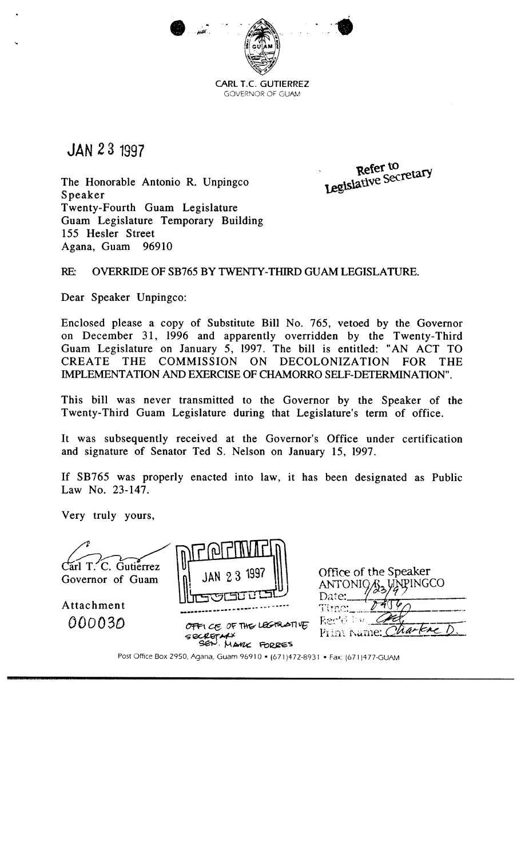

**JAN 2 3** 1997

Refer to Refer to<br>Legislative Secretary

The Honorable Antonio R. Unpingco Speaker Twenty-Fourth Guam Legislature Guam Legislature Temporary Building 155 Hesler Street Agana, Guam 96910

**RE:** OVERRIDE OF SB765 BY TWENTY-THIRD GUAM LEGISLATURE.

Dear Speaker Unpingco:

Enclosed please a copy of Substitute Bill No. 765, vetoed by the Governor on December 31, 1996 and apparently overridden by the Twenty-Third Guam Legislature on January 5, 1997. The bill is entitled: "AN ACT TO<br>CREATE THE COMMISSION ON DECOLONIZATION FOR THE THE COMMISSION ON DECOLONIZATION FOR IMPLEMENTATION AND EXERCISE OF CHAMORRO SELF-DETERMINATION".

This bill was never transmitted to the Governor by the Speaker of the Twenty-Third Guam Legislature during that Legislature's term of office.

It was subsequently received at the Governor's Office under certification and signature of Senator Ted S. Nelson on January 15, 1997.

If SB765 was properly enacted into law, it has been designated as Public Law No. 23-147.

Very truly yours,

Attachment 000030



Carl T. C. Gutierrez  $\begin{bmatrix} 0 \\ 1 \end{bmatrix}$  JAN 2 3 1997 Office of the Speaker<br>Governor of Guam  $\begin{bmatrix} 0 \\ 1 \end{bmatrix}$  JAN 2 3 1997  $\begin{bmatrix} 0 \\ 1 \end{bmatrix}$  Office of the Speaker<br>ANTONIO<sub>/A2</sub> UNPINGCO Dare: Time: Rec'd hw. Markne Print Name: C

OFFICE OF THE LEGISLATIVE SECRETARY<br>SEN. MARK FORRES

Post Office Box 2950, Agana, Guam 96910 • (671)472-8931 • Fax: (671)477-GUAM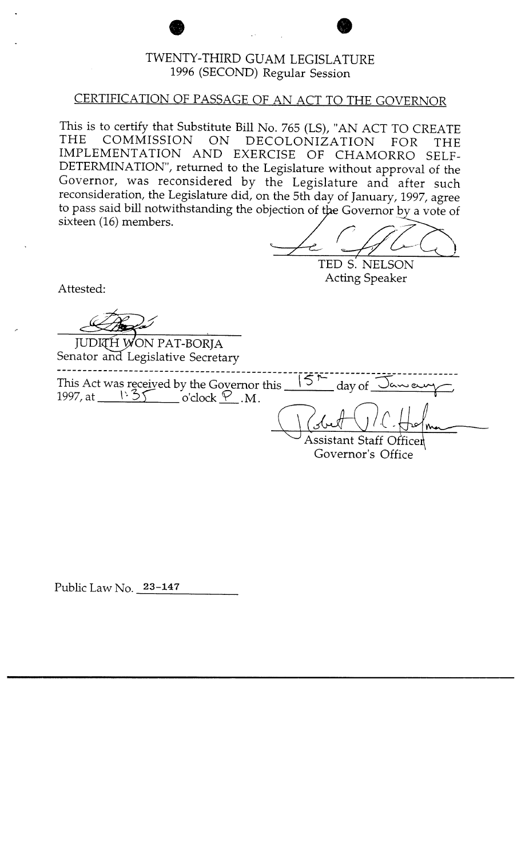### TWENTY-THIRD GUAM LEGISLATURE 1996 (SECOND) Regular Session

#### CERTIFICATION OF PASSAGE OF AN ACT TO THE GOVERNOR

This is to certify that Substitute Bill No. 765 (LS), "AN ACT TO CREATE<br>THE COMMISSION ON DECOLONIZATION FOR THE COMMISSION ON DECOLONIZATION FOR THE IMPLEMENTATION AND EXERCISE OF CHAMORRO SELF-DETERMINATION", returned to the Legislature without approval of the Governor, was reconsidered by the Legislature and after such reconsideration, the Legislature did, on the 5th day of January, 1997, agree to pass said bill notwithstanding the objection of the Governor by a vote of sixteen (16) members.

TED S. NELSON Acting Speaker

Attested:

JUDIQH WON PAT-BORJA Senator and Legislative Secretary

This Act was received by the Governor 1997, at  $1.35$  o'clock P. M.  $15<sup>h</sup>$  day of  $\overline{\Delta_{\alpha\omega}}$ 

Assistant Staff office4 Governor's Office

......................................

Public Law No. **23-147**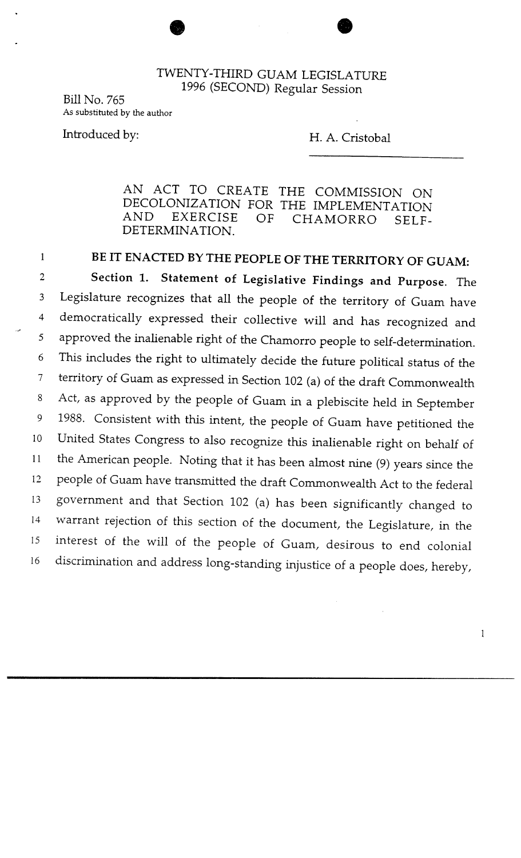### TWENTY-THIRD GUAM LEGISLATURE 1996 (SECOND) Regular Session

Bill No. 765 **As** substituted by the author

Introduced by: The H. A. Cristobal

 $\mathbf{1}$ 

AN ACT TO CREATE THE COMMISSION ON DECOLONIZATION FOR THE IMPLEMENTATION<br>AND EXERCISE OF CHAMORRO SELE-OF CHAMORRO SELF-DETERMINATION.

BE IT ENACTED BY THE PEOPLE OF THE TERRITORY OF GUAM:

Section 1. Statement of Legislative Findings and Purpose. The  $\overline{2}$ Legislature recognizes that all the people of the territory of Guam have 3 democratically expressed their collective will and has recognized and  $\overline{4}$ approved the inalienable right of the Chamorro people to self-determination.  $5<sup>1</sup>$ This includes the right to ultimately decide the future political status of the 6 territory of Guam as expressed in Section 102 (a) of the draft Commonwealth  $\overline{7}$ Act, as approved by the people of Guam in a plebiscite held in September 8 1988. Consistent with this intent, the people of Guam have petitioned the 9 United States Congress to also recognize this inalienable right on behalf of 10 11 the American people. Noting that it has been almost nine (9) years since the 12 people of Guam have transmitted the draft Commonwealth Act to the federal 13 government and that Section 102 (a) has been significantly changed to 14 warrant rejection of this section of the document, the Legislature, in the 15 interest of the will of the people of Guam, desirous to end colonial 16 discrimination and address long-standing injustice of a people does, hereby,

 $\mathbf{1}$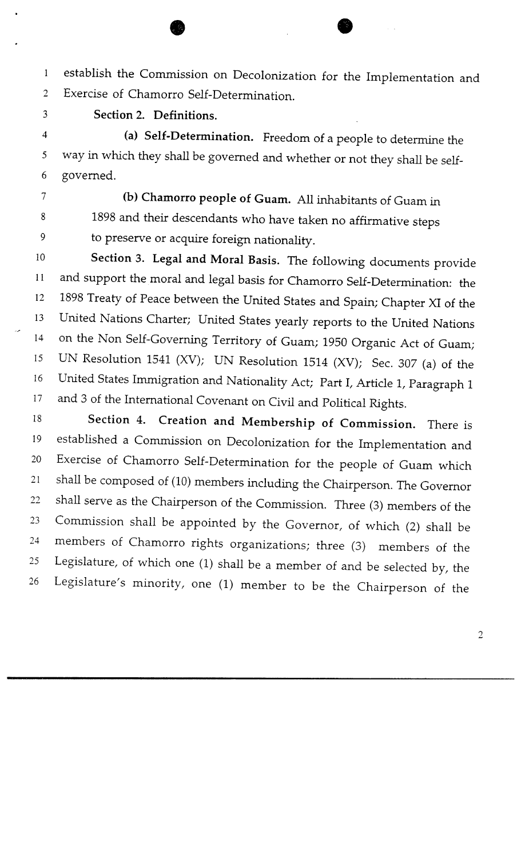establish the Commission on Decolonization for the Implementation and  $\mathbf{1}$ Exercise of Chamorro Self-Determination.  $\overline{2}$ 

3

**Section 2. Definitions.** 

**(a) Self-Determination.** Freedom of a people to determine the  $\overline{\mathbf{4}}$ way in which they shall be governed and whether or not they shall be self-5 governed. 6

**(b) Chamorro people of Guam.** All inhabitants of Guam in  $\overline{7}$ 1898 and their descendants who have taken no affirmative steps  $8\,$ to preserve or acquire foreign nationality. 9

**Section 3. Legal and Moral Basis.** The following documents provide 10 and support the moral and legal basis for Chamorro Self-Determination: the  $11$ 1898 Treaty of Peace between the United States and Spain; Chapter XI of the 12 United Nations Charter; United States yearly reports to the United Nations 13 on the Non Self-Governing Territory of Guam; 1950 Organic Act of Guam;  $14$ UN Resolution 1541 (XV); UN Resolution 1514 (XV); Sec. 307 (a) of the 15 United States Immigration and Nationality Act; Part I, Article 1, Paragraph 1 16 and 3 of the International Covenant on Civil and Political Rights. 17

**Section 4. Creation and Membership of Commission.** There is 18 established a Commission on Decolonization for the Implementation and 19 Exercise of Chamorro Self-Determination for the people of Guam which 20 shall be composed of (10) members including the Chairperson. The Governor 21 shall serve as the Chairperson of the Commission. Three (3) members of the 22 Commission shall be appointed by the Governor, of which (2) shall be 23 members of Chamorro rights organizations; three (3) members of the 24 Legislature, of which one (1) shall be a member of and be selected by, the 25 Legislature's minority, one (1) member to be the Chairperson of the 26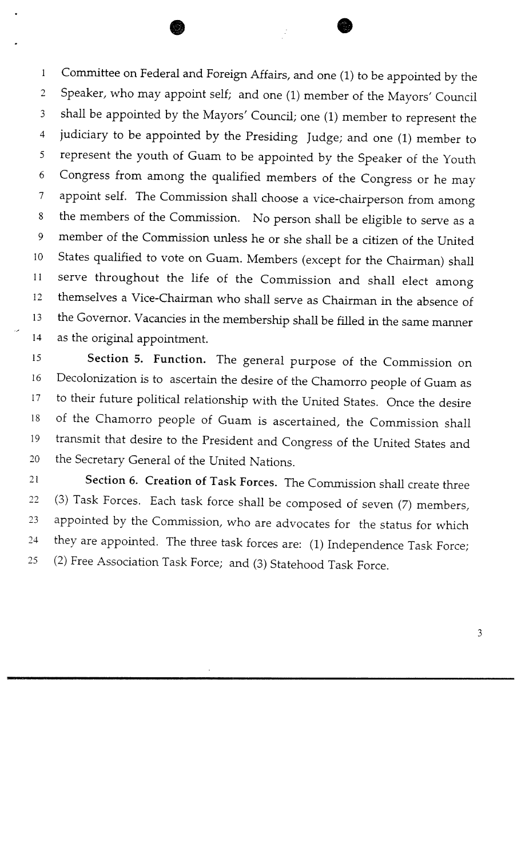Committee on Federal and Foreign Affairs, and one (1) to be appointed by the  $\mathbf{1}$ Speaker, who may appoint self; and one (1) member of the Mayors' Council  $\overline{2}$ shall be appointed by the Mayors' Council; one (1) member to represent the  $\overline{3}$ judiciary to be appointed by the Presiding Judge; and one (1) member to  $\overline{4}$ represent the youth of Guam to be appointed by the Speaker of the Youth 5 Congress from among the qualified members of the Congress or he may 6 appoint self. The Commission shall choose a vice-chairperson from among  $\overline{\mathcal{I}}$ the members of the Commission. No person shall be eligible to serve as a 8 member of the Commission unless he or she shall be a citizen of the United 9 States qualified to vote on Guam. Members (except for the Chairman) shall 10 serve throughout the life of the Commission and shall elect among  $11$ 12 rientselves a Vice-Chairman who shall serve as Chairman in the absence of the Governor. Vacancies in the membership shall be filled in the same manner 13 14 as the original appointment.

Section 5. Function. The general purpose of the Commission on 15 Decolonization is to ascertain the desire of the Chamorro people of Guam as 16 to their future political relationship with the United States. Once the desire 17 of the Chamorro people of Guam is ascertained, the Commission shall 18 transmit that desire to the President and Congress of the United States and 19 the Secretary General of the United Nations. 20

Section 6. Creation of Task Forces. The Commission shall create three 21 (3) Task Forces. Each task force shall be composed of seven (7) members, 22 appointed by the Commission, who are advocates for the status for which 23 they are appointed. The three task forces are: (1) Independence Task Force; 24 (2) Free Association Task Force; and (3) Statehood Task Force. 25

3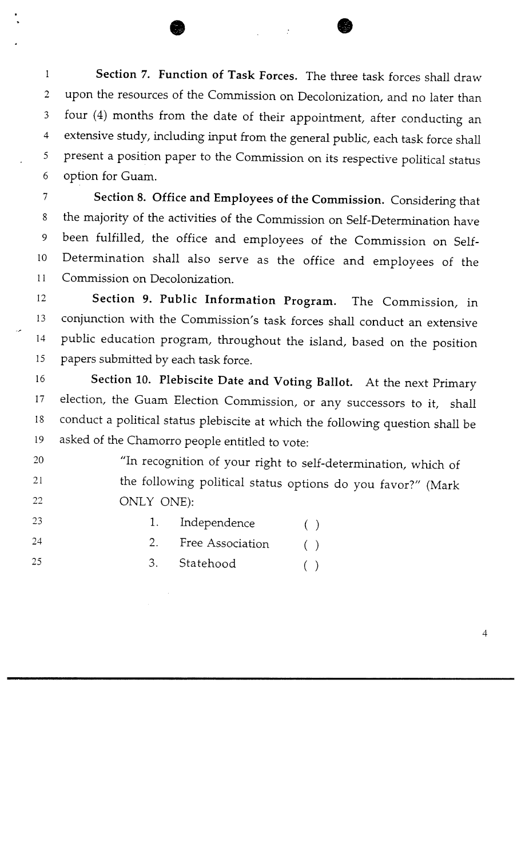**Section 7. Function of Task Forces.** The three task forces shall draw  $\mathbf{1}$ upon the resources of the Commission on Decolonization, and no later than  $\overline{2}$ four (4) months from the date of their appointment, after conducting an  $\overline{3}$ extensive study, including input from the general public, each task force shall  $\overline{4}$ present a position paper to the Commission on its respective political status 5 6 option for Guam.

**Section 8. Office and Employees of the Commission.** Considering that  $\overline{\tau}$ the majority of the activities of the Commission on Self-Determination have  $8\,$ been fulfilled, the office and employees of the Commission on Self-9 Determination shall also serve as the office and employees of the 10 Commission on Decolonization. 11

**Section 9. Public Information Program.** The Commission, in 12 conjunction with the Commission's task forces shall conduct an extensive 13 public education program, throughout the island, based on the position 14 15 papers submitted by each task force.

**Section 10. Plebiscite Date and Voting Ballot.** At the next Primary 16 election, the Guam Election Commission, or any successors to it, shall 17 conduct a political status plebiscite at which the following question shall be  $18\,$ asked of the Chamorro people entitled to vote: 19

"In recognition of your right to self-determination, which of 20 the following political status options do you favor?" (Mark  $21$ 22 ONLY ONE):

> 1. Independence ( 1 2. Free Association ( ) 3. Statehood ( )

23

24

25

 $\overline{4}$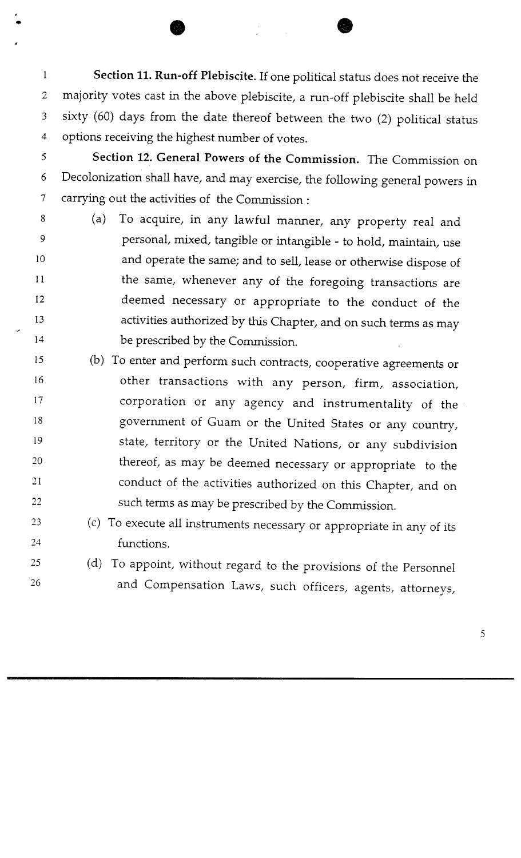**Section 11. Run-off Plebiscite.** If one political status does not receive the  $\mathbf{I}$ majority votes cast in the above plebiscite, a run-off plebiscite shall be held  $\overline{2}$ sixty (60) days from the date thereof between the two (2) political status 3 options receiving the hghest number of votes.  $\overline{4}$ 

**Section 12. General Powers of the Commission.** The Commission on 5 Decolonization shall have, and may exercise, the following general powers in 6 carrying out the activities of the Commission :  $\tau$ 

- (a) To acquire, in any lawful manner, any property real and 8 personal, mixed, tangible or intangible - to hold, maintain, use 9 and operate the same; and to sell, lease or otherwise dispose of 10 the same, whenever any of the foregoing transactions are  $11$ deemed necessary or appropriate to the conduct of the 12 activities authorized by this Chapter, and on such terms as may 13  $14$ be prescribed by the Commission.
- (b) To enter and perform such contracts, cooperative agreements or 15 other transactions with any person, firm, association, 16 corporation or any agency and instrumentality of the 17 government of Guam or the United States or any country, 18 state, territory or the United Nations, or any subdivision 19 thereof, as may be deemed necessary or appropriate to the 20 conduct of the activities authorized on this Chapter, and on 21 such terms as may be prescribed by the Commission. 22
- (c) To execute all instruments necessary or appropriate in any of its 23 24 functions.
- (d) To appoint, without regard to the provisions of the Personnel 25 and Compensation Laws, such officers, agents, attorneys, 26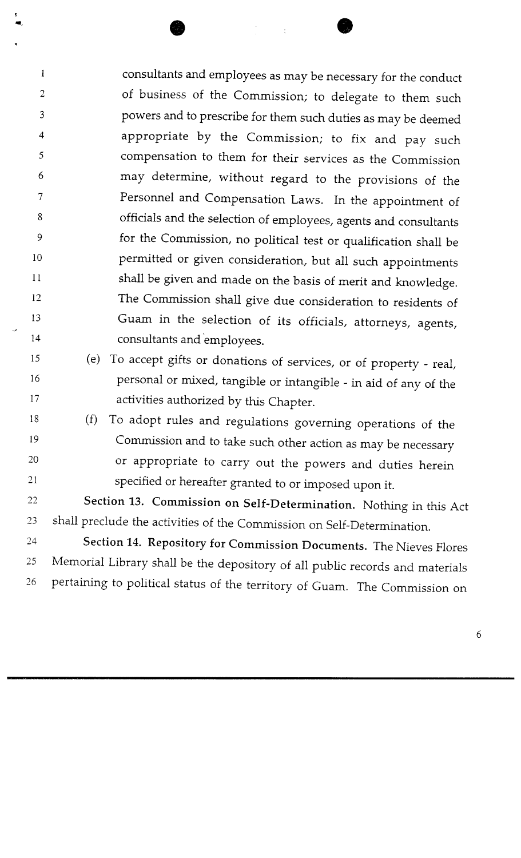consultants and employees as may be necessary for the conduct  $\mathbf{1}$ of business of the Commission; to delegate to them such  $\overline{2}$ powers and to prescribe for them such duties as may be deemed 3 appropriate by the Commission; to fix and pay such  $\overline{4}$ compensation to them for their services as the Commission 5 may determine, without regard to the provisions of the 6 Personnel and Compensation Laws. In the appointment of  $\overline{7}$ officials and the selection of employees, agents and consultants  $8\,$ for the Commission, no political test or qualification shall be 9 permitted or given consideration, but all such appointments 10 shall be given and made on the basis of merit and knowledge. 11 The Commission shall give due consideration to residents of 12 Guam in the selection of its officials, attorneys, agents, 13 consultants and employees.  $14$ 

(e) To accept gifts or donations of services, or of property - real, personal or mixed, tangible or intangible - in aid of any of the activities authorized by this Chapter.

15

16

 $17$ 

(f) To adopt rules and regulations governing operations of the 18 Commission and to take such other action as may be necessary 19 or appropriate to carry out the powers and duties herein 20 specified or hereafter granted to or imposed upon it. 21

Section 13. Commission on Self-Determination. Nothing in this Act 22 shall preclude the activities of the Commission on Self-Determination. 23

Section 14. Repository for Commission Documents. The Nieves Flores 24 Memorial Library shall be the depository of all public records and materials 25 pertaining to political status of the territory of Guam. The Commission on 26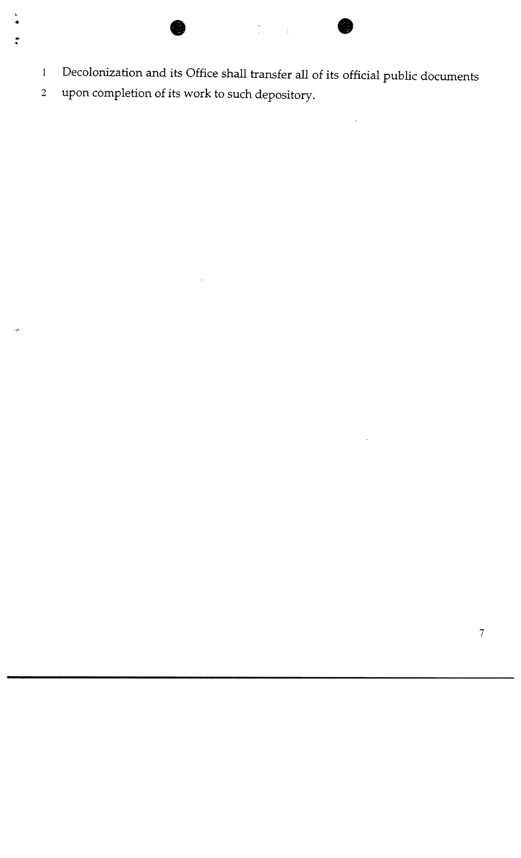- <sup>1</sup>Decolonization and its Office shall transfer all of its official public documents
- *<sup>2</sup>*upon completion of its work to such depository.

 $\ddot{\phantom{0}}$ 

 $\overline{7}$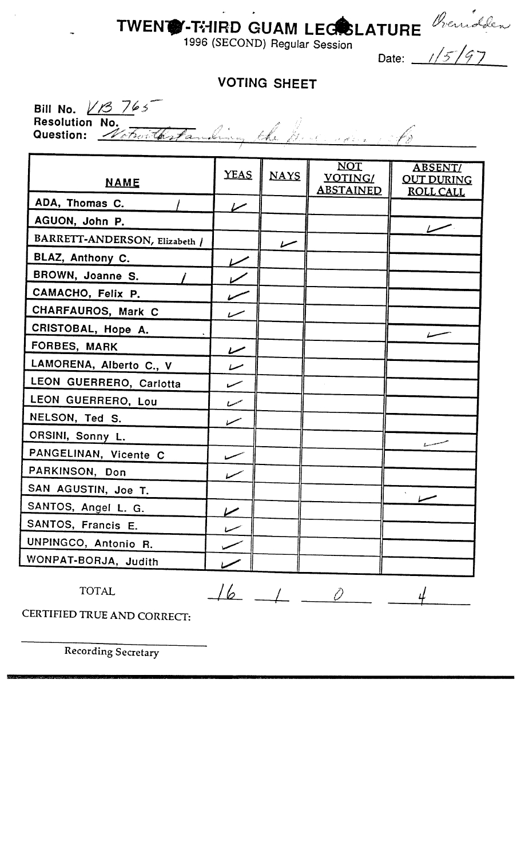**TWENT: THED GUAM LECOLATURE** benefit on <sup>1996</sup>(SECOND) Regular **Session** 

Date:

 $\overline{\mu}$ 

### **VOTING SHEET**

**Bill No.**  $\sqrt{3}$  765

**,<sup>C</sup>Resolution No.** .. li . ? + \_< . ;' ,\$ '  $\frac{1}{2}$   $\frac{1}{2}$   $\frac{1}{2}$   $\frac{1}{2}$   $\frac{1}{2}$   $\frac{1}{2}$   $\frac{1}{2}$   $\frac{1}{2}$   $\frac{1}{2}$   $\frac{1}{2}$   $\frac{1}{2}$   $\frac{1}{2}$   $\frac{1}{2}$   $\frac{1}{2}$   $\frac{1}{2}$   $\frac{1}{2}$   $\frac{1}{2}$   $\frac{1}{2}$   $\frac{1}{2}$   $\frac{1}{2}$   $\frac{1}{2}$   $\frac{1}{2}$   $\$ 

| <b>NAME</b>                   | YEAS | <b>NAYS</b> | <b>NOT</b><br><b>VOTING/</b><br><b>ABSTAINED</b> | <b>ABSENT/</b><br><b>OUT DURING</b><br><b>ROLL CALL</b> |
|-------------------------------|------|-------------|--------------------------------------------------|---------------------------------------------------------|
| ADA, Thomas C.                | سما  |             |                                                  |                                                         |
| AGUON, John P.                |      |             |                                                  |                                                         |
| BARRETT-ANDERSON, Elizabeth / |      | سسا         |                                                  |                                                         |
| BLAZ, Anthony C.              |      |             |                                                  |                                                         |
| BROWN, Joanne S.              |      |             |                                                  |                                                         |
| CAMACHO, Felix P.             |      |             |                                                  |                                                         |
| CHARFAUROS, Mark C            |      |             |                                                  |                                                         |
| CRISTOBAL, Hope A.            |      |             |                                                  |                                                         |
| FORBES, MARK                  | سما  |             |                                                  |                                                         |
| LAMORENA, Alberto C., V       | سىيا |             |                                                  |                                                         |
| LEON GUERRERO, Carlotta       | ستست |             |                                                  |                                                         |
| LEON GUERRERO, Lou            | سي   |             |                                                  |                                                         |
| NELSON, Ted S.                |      |             |                                                  |                                                         |
| ORSINI, Sonny L.              |      |             |                                                  |                                                         |
| PANGELINAN, Vicente C         |      |             |                                                  |                                                         |
| PARKINSON, Don                |      |             |                                                  |                                                         |
| SAN AGUSTIN, Joe T.           |      |             |                                                  |                                                         |
| SANTOS, Angel L. G.           |      |             |                                                  |                                                         |
| SANTOS, Francis E.            |      |             |                                                  |                                                         |
| UNPINGCO, Antonio R.          |      |             |                                                  |                                                         |
| WONPAT-BORJA, Judith          |      |             |                                                  |                                                         |

TOTAL

 $16 - 0$ 

CERTIFlED TRUE **AND** CORRECT:

**Recording Secretary**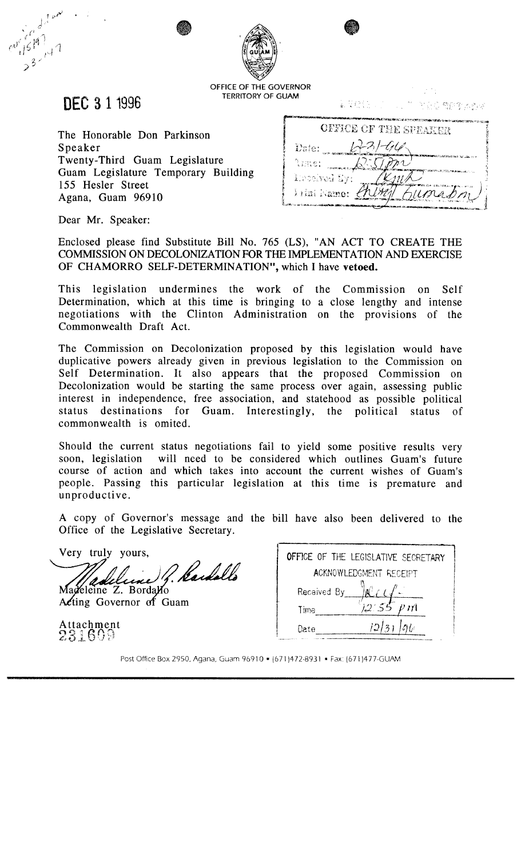

DEC **3** 1 1996 **TERRITORY OF GUAM** 

The Honorable Don Parkinson Speaker Twenty-Third Guam Legislature Guam Legislature Temporary Building 155 Hesler Street Agana, Guam 96910

|              | OFFICE OF THE SPEAKER |
|--------------|-----------------------|
| Date:        | $+3) - 400$           |
| Arme:        |                       |
| Drosived By: |                       |
| ktini Namet  |                       |

2. 艾利( B ) 2. 1

 $\label{eq:3.1} \mathcal{L}_{\rm{max}} = \frac{2\pi}{\pi} \sum_{i=1}^{N} \sum_{k=1}^{N} \sum_{k=1}^{N} \frac{1}{2} \sum_{k=1}^{N} \frac{1}{2} \sum_{k=1}^{N} \sum_{k=1}^{N} \frac{1}{2} \sum_{k=1}^{N} \frac{1}{2} \sum_{k=1}^{N} \frac{1}{2} \sum_{k=1}^{N} \frac{1}{2} \sum_{k=1}^{N} \frac{1}{2} \sum_{k=1}^{N} \frac{1}{2} \sum_{k=1}^{N} \frac{1}{2} \sum_{k=1$ 

Dear Mr. Speaker:

Enclosed please find Substitute Bill No. 765 (LS), "AN ACT TO CREATE THE COMMISSION ON DECOLONIZATION FOR THE IMPLEMENTATION AND EXERCISE OF CHAMORRO SELF-DETERMINATION", which I have **vetoed.** 

This legislation undermines the work of the Commission on Self Determination, which at this time is bringing to a close lengthy and intense negotiations with the Clinton Administration on the provisions of the Commonwealth Draft Act.

The Commission on Decolonization proposed by this legislation would have duplicative powers already given in previous legislation to the Commission on Self Determination. It also appears that the proposed Commission on Decolonization would be starting the same process over again, assessing public interest in independence, free association, and statehood as possible political status destinations for Guam. Interestingly, the political status of commonwealth is omited.

Should the current status negotiations fail to yield some positive results very soon, legislation will need to be considered which outlines Guam's future course of action and which takes into account the current wishes of Guam's people. Passing this particular legislation at this time is premature and unproductive.

A copy of Governor's message and the bill have also been delivered to the Office of the Legislative Secretary.

Very truly yours,

Wadeline P. Kardollo

&ing Governor *cd* Guam

 $A$ ttachment<br>231609

|             | OFFICE OF THE LEGISLATIVE SECRETARY |
|-------------|-------------------------------------|
|             | ACKNOWLEDGMENT RECEIPT              |
| Received By |                                     |
| Time        |                                     |
| Date        | 70                                  |
|             |                                     |

Post Office Box 2950. Agana, Guam 969 10 *(67* 1 )472-893 1 Fax: *(67* **1** 1477-GUAM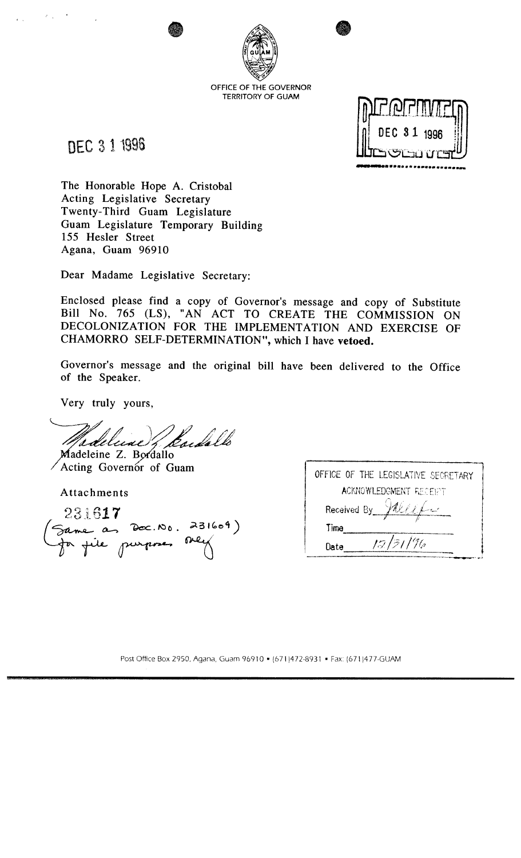**OFFICE OF THE GOVERNOR TERRITORY OF GUAM** 

DEC 3 1 1996



The Honorable Hope A. Cristobal Acting Legislative Secretary Twenty-Third Guam Legislature Guam Legislature Temporary Building **155** Hesler Street Agana, Guam **96910** 

Dear Madame Legislative Secretary:

Enclosed please find a copy of Governor's message and copy of Substitute Bill No. 765 (LS), "AN ACT TO CREATE THE COMMISSION ON DECOLONIZATION FOR THE IMPLEMENTATION AND EXERCISE OF CHAMORRO SELF-DETERMINATION", which I have vetoed.

Governor's message and the original bill have been delivered to the Office of the Speaker.

Very truly yours,

Eac*dall*o

adeleine Z. Bordallo ne *L*. Borgallo<br>Governor of Guam

Attachments

231617 Same as Doc. No. 231609)<br>for file purposes mey Same as 2

| OFFICE OF THE LEGISLATIVE SECRETARY |  |
|-------------------------------------|--|
| ACKNOWLEDGMENT RECEPT               |  |
| Received By $\mathcal{MLL}$         |  |
| Time                                |  |
| 12/31/96<br>Date                    |  |

-.IcIc- **C.** 

Post Office Box 2950, Agana, Guam 969 10 *(67* 1 1472-893 1 *8* Fax: (67 **1** )477-GUAM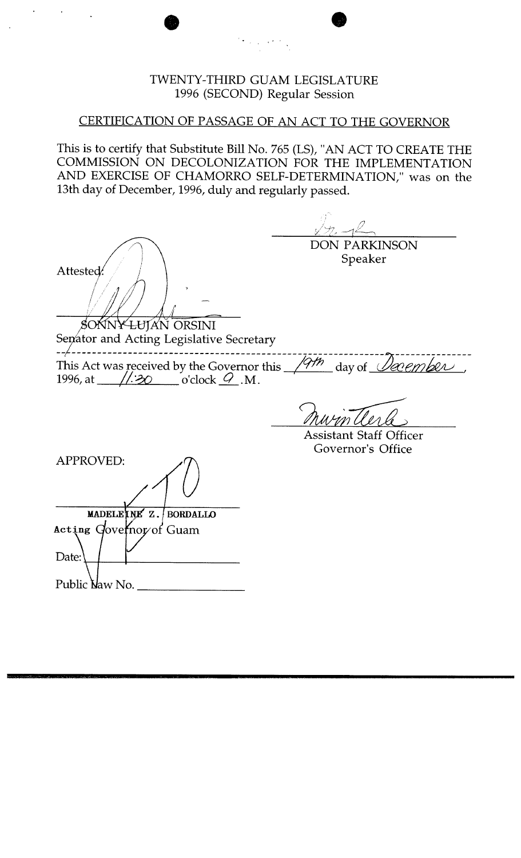

### CERTIFICATION OF PASSAGE OF AN ACT TO THE GOVERNOR

This is to certify that Substitute Bill No. 765 (LS), "AN ACT TO CREATE THE COMMISSION ON DECOLONIZATION FOR THE IMPLEMENTATION AND EXERCISE OF CHAMORRO SELF-DETERMINATION," was on the 13th day of December, 1996, duly and regularly passed.

Attested. The Speaker Speaker Speaker Speaker Speaker Speaker Speaker Speaker Speaker Speaker Speaker Speaker

SOKNY-LUJAN ORSINI Senator and Acting Legislative Secretary

This Act was received by the Governor this  $\sqrt{97}$  day of  $\sqrt{2}$  ember. 1996, at  $\frac{1}{30}$  o'clock  $\mathcal{Q}$ . M.

Assistant Staff Officer Governor's Office

APPROVED: MADELEINE Z. BORDALLO Acting Governor of Guam Date: Public Naw No.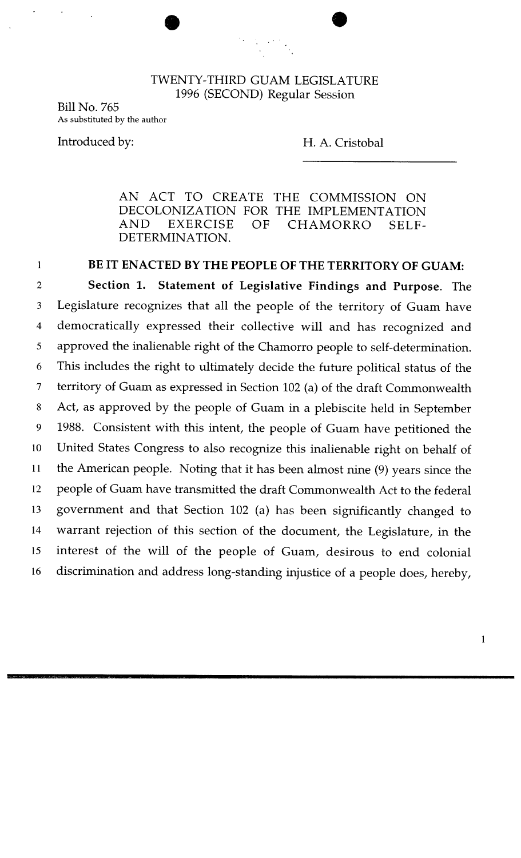

### TWENTY-THIRD GUAM LEGISLATURE 1996 (SECOND) Regular Session

Bill No. 765 As substituted by the author

Introduced by: **H. A. Cristobal** 

AN ACT TO CREATE THE COMMISSION ON DECOLONIZATION FOR THE IMPLEMENTATION AND EXERCISE OF CHAMORRO SELF-DETERMINATION.

#### **BE IT ENACTED BY THE PEOPLE OF THE TERRITORY OF GUAM:**   $\mathbf{1}$

 $\overline{2}$ **Section 1. Statement of Legislative Findings and Purpose.** The Legislature recognizes that all the people of the territory of Guam have 3  $\overline{4}$ democratically expressed their collective will and has recognized and approved the inalienable right of the Chamorro people to self-determination. 5 This includes the right to ultimately decide the future political status of the 6  $\overline{7}$ territory of Guam as expressed in Section 102 (a) of the draft Commonwealth Act, as approved by the people of Guam in a plebiscite held in September 8 9 1988. Consistent with this intent, the people of Guam have petitioned the United States Congress to also recognize this inalienable right on behalf of 10 the American people. Noting that it has been almost nine (9) years since the 11 people of Guam have transmitted the draft Commonwealth Act to the federal 12 government and that Section 102 (a) has been significantly changed to 13 warrant rejection of this section of the document, the Legislature, in the 14 interest of the will of the people of Guam, desirous to end colonial 15 discrimination and address long-standing injustice of a people does, hereby, 16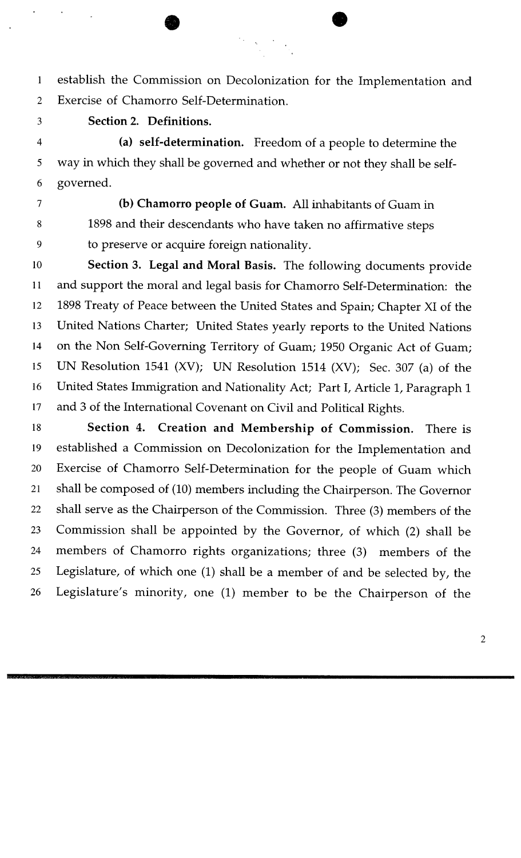$\mathbf{1}$ establish the Commission on Decolonization for the Implementation and Exercise of Chamorro Self-Determination.  $\overline{2}$ 

**Section 2. Definitions.**  3

**(a) self-determination.** Freedom of a people to determine the  $\overline{4}$ way in which they shall be governed and whether or not they shall be self- $\mathfrak s$ governed. 6

 $\overline{7}$ **(b) Chamorro people of Guam.** All inhabitants of Guam in 8 1898 and their descendants who have taken no affirmative steps 9 to preserve or acquire foreign nationality.

**Section 3. Legal and Moral Basis.** The following documents provide  $10\,$ 11 and support the moral and legal basis for Chamorro Self-Determination: the 1898 Treaty of Peace between the United States and Spain; Chapter XI of the 12 United Nations Charter; United States yearly reports to the United Nations 13 14 on the Non Self-Governing Territory of Guam; 1950 Organic Act of Guam; UN Resolution 1541 (XV); UN Resolution 1514 (XV); Sec. 307 (a) of the 15 16 United States Immigration and Nationality Act; Part I, Article 1, Paragraph 1 17 and **3** of the International Covenant on Civil and Political Rights.

18 **Section 4. Creation and Membership of Commission.** There is established a Commission on Decolonization for the Implementation and 19 Exercise of Chamorro Self-Determination for the people of Guam which 20 **<sup>21</sup>**shall be composed of (10) members including the Chairperson. The Governor 22 shall serve as the Chairperson of the Commission. Three **(3)** members of the **<sup>23</sup>**Commission shall be appointed by the Governor, of which (2) shall be 24 members of Chamorro rights organizations; three (3) members of the **<sup>25</sup>**Legislature, of which one (1) shall be a member of and be selected by, the **26** Legislature's minority, one (1) member to be the Chairperson of the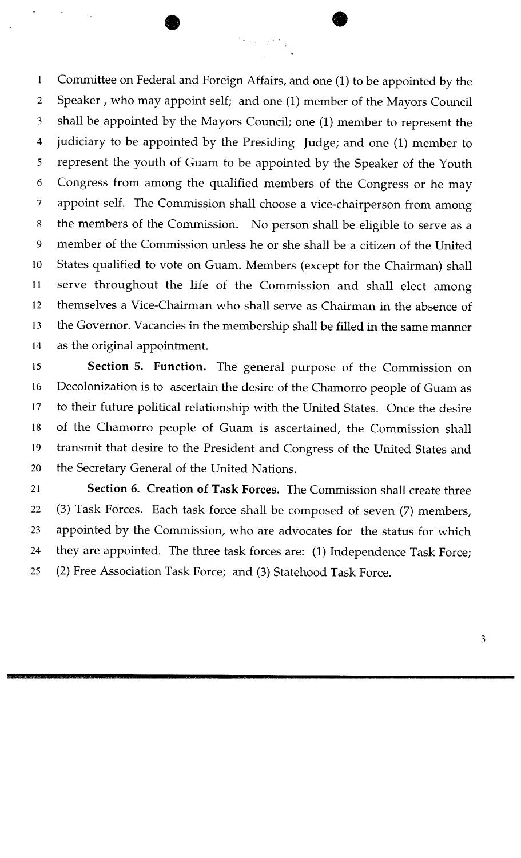\* a zi

 $\mathbf{1}$ Committee on Federal and Foreign Affairs, and one (1) to be appointed by the Speaker , who may appoint self; and one (1) member of the Mayors Council  $\overline{2}$ shall be appointed by the Mayors Council; one (1) member to represent the 3 judiciary to be appointed by the Presiding Judge; and one (1) member to  $\overline{4}$ represent the youth of Guam to be appointed by the Speaker of the Youth 5 6 Congress from among the qualified members of the Congress or he may appoint self. The Commission shall choose a vice-chairperson from among  $\tau$ the members of the Commission. No person shall be eligible to serve as a 8 9 member of the Commission unless he or she shall be a citizen of the United States qualified to vote on Guam. Members (except for the Chairman) shall 10 serve throughout the life of the Commission and shall elect among 11 12 themselves a Vice-Chairman who shall serve as Chairman in the absence of the Governor. Vacancies in the membership shall be filled in the same manner 13 14 as the original appointment.

**Section 5. Function.** The general purpose of the Commission on 15 Decolonization is to ascertain the desire of the Chamorro people of Guam as 16 to their future political relationship with the United States. Once the desire 17 of the Chamorro people of Guam is ascertained, the Commission shall 18 transmit that desire to the President and Congress of the United States and 19 the Secretary General of the United Nations. 20

**Section 6. Creation of Task Forces.** The Commission shall create three 21 22 **(3)** Task Forces. Each task force shall be composed of seven (7) members, appointed by the Commission, who are advocates for the status for which 23 they are appointed. The three task forces are: (1) Independence Task Force; 24 25 (2) Free Association Task Force; and **(3)** Statehood Task Force.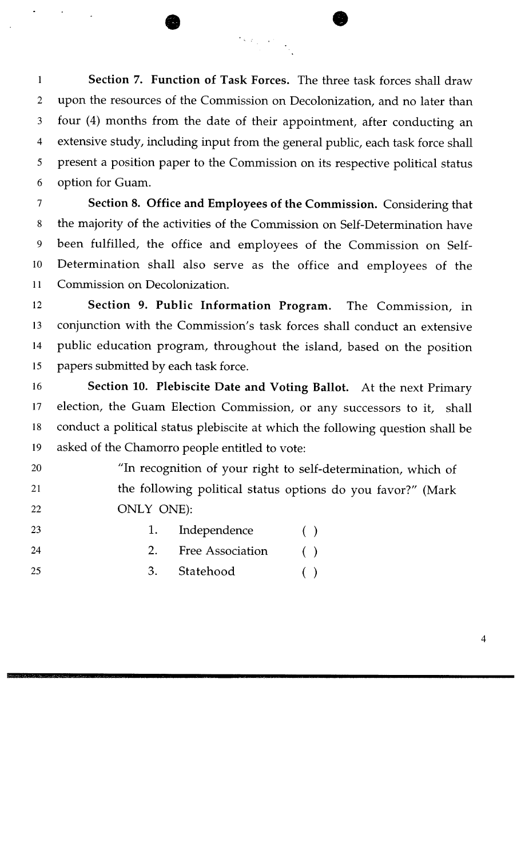$\label{eq:2} \frac{1}{2} \left\langle \hat{S}_{\mu\nu} \hat{F}_{\nu\rho\sigma} \right\rangle = \frac{1}{2} \left\langle \hat{F}_{\mu\nu} \hat{F}_{\nu\rho\sigma} \right\rangle$ 

 $\mathbf{1}$ **Section 7. Function of Task Forces.** The three task forces shall draw upon the resources of the Commission on Decolonization, and no later than  $\overline{2}$ 3 four (4) months from the date of their appointment, after conducting an  $\overline{4}$ extensive study, including input from the general public, each task force shall 5 present a position paper to the Commission on its respective political status 6 option for Guam.

**Section 8. Office and Employees of the Commission.** Considering that  $\overline{7}$  $8\,$ the majority of the activities of the Commission on Self-Determination have 9 been fulfilled, the office and employees of the Commission on Self-Determination shall also serve as the office and employees of the 10 Commission on Decolonization. 11

**Section 9. Public Information Program.** The Commission, in 12 conjunction with the Commission's task forces shall conduct an extensive 13 public education program, throughout the island, based on the position 14 papers submitted by each task force. 15

16 **Section 10. Plebiscite Date and Voting Ballot.** At the next Primary election, the Guam Election Commission, or any successors to it, shall 17 conduct a political status plebiscite at which the following question shall be 18 asked of the Chamorro people entitled to vote: 19

"In recognition of your right to self-determination, which of 20 the following political status options do you favor?" (Mark 21 ONLY ONE): 22

| 23 | 1. Independence     |  |
|----|---------------------|--|
| 24 | 2. Free Association |  |
| 25 | 3. Statehood        |  |

 $\overline{4}$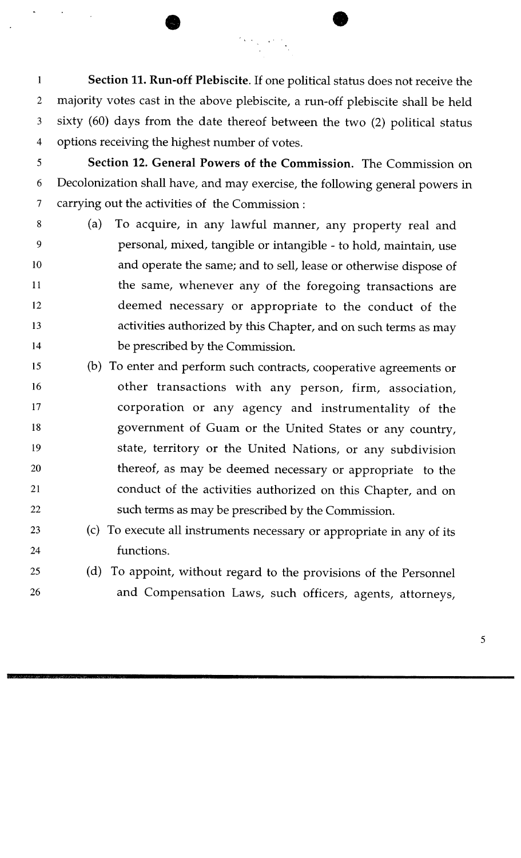**<sup>1</sup>Section 11. Run-off Plebiscite.** If one political status does not receive the 2 majority votes cast in the above plebiscite, a run-off plebiscite shall be held 3 sixty (60) days from the date thereof between the two (2) political status **<sup>4</sup>**options receiving the highest number of votes.

 $\frac{1}{2} \sum_{i=1}^{n} \frac{1}{\lambda_i} \sum_{j=1}^{n} \frac{1}{j} \sum_{j=1}^{n} \frac{1}{j} \sum_{j=1}^{n} \frac{1}{j} \sum_{j=1}^{n} \frac{1}{j} \sum_{j=1}^{n} \frac{1}{j} \sum_{j=1}^{n} \frac{1}{j} \sum_{j=1}^{n} \frac{1}{j} \sum_{j=1}^{n} \frac{1}{j} \sum_{j=1}^{n} \frac{1}{j} \sum_{j=1}^{n} \frac{1}{j} \sum_{j=1}^{n} \frac{1}{j} \sum_{j=1}$ 

**5 Section 12. General Powers of the Commission.** The Commission on Decolonization shall have, and may exercise, the following general powers in 6  $\tau$ carrying out the activities of the Commission :

- 8 (a) To acquire, in any lawful manner, any property real and 9 personal, mixed, tangible or intangible - to hold, maintain, use and operate the same; and to sell, lease or otherwise dispose of  $10\,$ the same, whenever any of the foregoing transactions are 11 deemed necessary or appropriate to the conduct of the 12 activities authorized by this Chapter, and on such terms as may 13 14 be prescribed by the Commission.
- 15 (b) To enter and perform such contracts, cooperative agreements or other transactions with any person, firm, association, 16 17 corporation or any agency and instrumentality of the government of Guam or the United States or any country, 18 state, territory or the United Nations, or any subdivision 19 thereof, as may be deemed necessary or appropriate to the 20 conduct of the activities authorized on this Chapter, and on 21 22 such terms as may be prescribed by the Commission.
- 23 (c) To execute all instruments necessary or appropriate in any of its **24** functions.
- **<sup>25</sup>**(d) To appoint, without regard to the provisions of the Personnel **26** and Compensation Laws, such officers, agents, attorneys,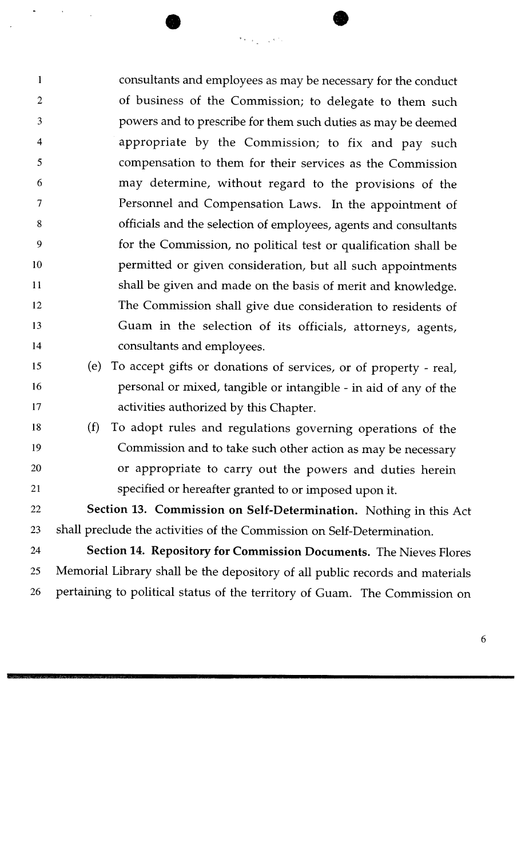$\mathbf{1}$ consultants and employees as may be necessary for the conduct of business of the Commission; to delegate to them such  $\overline{2}$ powers and to prescribe for them such duties as may be deemed 3 appropriate by the Commission; to fix and pay such  $\overline{4}$ compensation to them for their services as the Commission 5 may determine, without regard to the provisions of the 6  $\overline{\tau}$ Personnel and Compensation Laws. In the appointment of  $8\,$ officials and the selection of employees, agents and consultants 9 for the Commission, no political test or qualification shall be permitted or given consideration, but all such appointments 10 shall be given and made on the basis of merit and knowledge. 11 The Commission shall give due consideration to residents of 12 Guam in the selection of its officials, attorneys, agents, 13 consultants and employees. 14 15 (e) To accept gifts or donations of services, or of property - real,

- personal or mixed, tangible or intangible in aid of any of the 16 17 activities authorized by this Chapter.
- (f) To adopt rules and regulations governing operations of the 18 19 Commission and to take such other action as may be necessary 20 or appropriate to carry out the powers and duties herein specified or hereafter granted to or imposed upon it. 21

**Section 13. Commission on Self-Determination.** Nothing in this Act 22 shall preclude the activities of the Commission on Self-Determination. 23

**Section 14. Repository for Commission Documents.** The Nieves Flores 24 Memorial Library shall be the depository of all public records and materials 25 pertaining to political status of the territory of Guam. The Commission on 26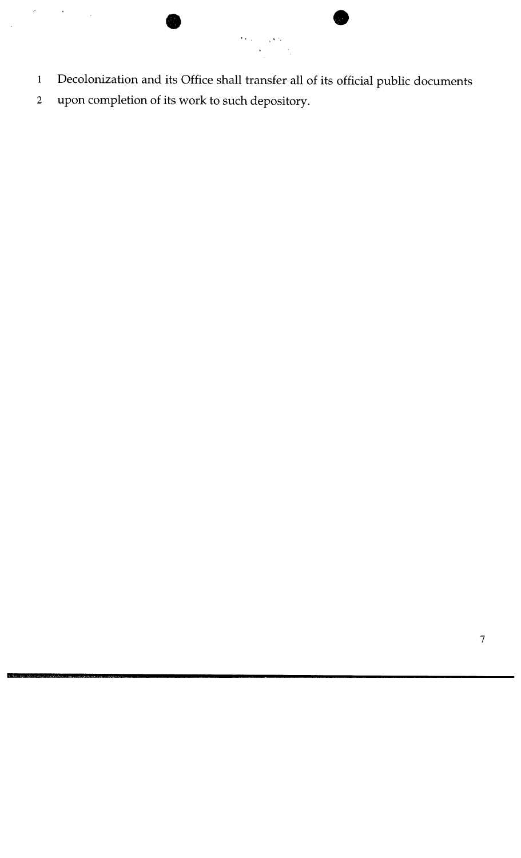

- **<sup>I</sup>**Decolonization and its Office shall transfer all of its official public documents
- *<sup>2</sup>*upon completion of its work to such depository.

 $\hat{\mathbf{r}}$ 

 $\overline{\phantom{a}}$ 

š,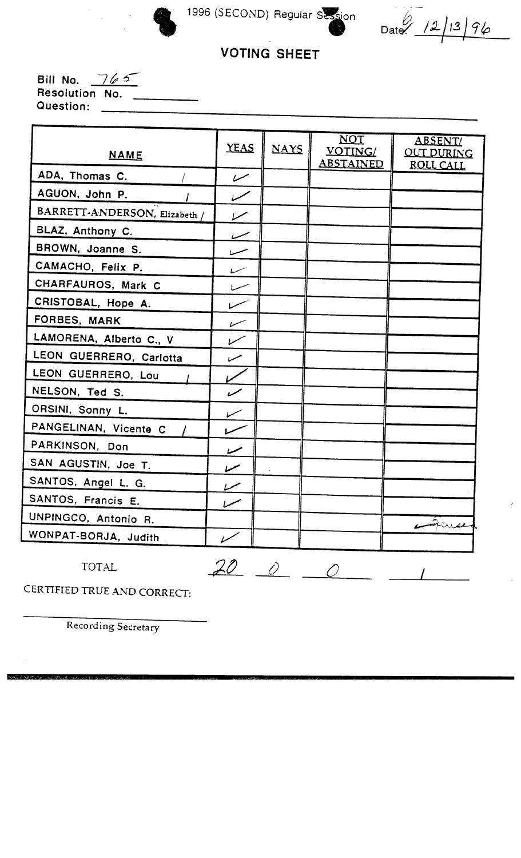

1996 (SECOND) Regular Session

- . --

### **VOTING SHEET**

**Bill No.** 765

**Resolution No. 4 (1974)** 

| <b>NAME</b>                   | YEAS                     | <b>NAYS</b> | <b>NOT</b><br>VOTING/<br><b>ABSTAINED</b> | <b>ABSENT/</b><br><b>OUT DURING</b><br><b>ROLL CALL</b> |
|-------------------------------|--------------------------|-------------|-------------------------------------------|---------------------------------------------------------|
| ADA, Thomas C.                | سميا                     |             |                                           |                                                         |
| AGUON, John P.                |                          |             |                                           |                                                         |
| BARRETT-ANDERSON, Elizabeth / | $\overline{\phantom{a}}$ |             |                                           |                                                         |
| BLAZ, Anthony C.              | سىسا                     |             |                                           |                                                         |
| BROWN, Joanne S.              |                          |             |                                           |                                                         |
| CAMACHO, Felix P.             | سىسا                     |             |                                           |                                                         |
| CHARFAUROS, Mark C            |                          |             |                                           |                                                         |
| CRISTOBAL, Hope A.            |                          |             |                                           |                                                         |
| FORBES, MARK                  | $\overline{r}$           |             |                                           |                                                         |
| LAMORENA, Alberto C., V       | $\overline{\phantom{a}}$ |             |                                           |                                                         |
| LEON GUERRERO, Carlotta       | سمسا                     |             |                                           |                                                         |
| LEON GUERRERO, Lou            |                          |             |                                           |                                                         |
| NELSON, Ted S.                | ممسا                     |             |                                           |                                                         |
| ORSINI, Sonny L.              | $\overline{\phantom{0}}$ |             |                                           |                                                         |
| PANGELINAN, Vicente C         |                          |             |                                           |                                                         |
| PARKINSON, Don                | $\overline{\phantom{a}}$ |             |                                           |                                                         |
| SAN AGUSTIN, Joe T.           | $\overline{\phantom{a}}$ |             |                                           |                                                         |
| SANTOS, Angel L. G.           |                          |             |                                           |                                                         |
| SANTOS, Francis E.            |                          |             |                                           |                                                         |
| UNPINGCO, Antonio R.          |                          |             |                                           | Acre                                                    |
| WONPAT-BORJA, Judith          |                          |             |                                           |                                                         |
|                               |                          |             |                                           |                                                         |

TOTAL

 $20000$ 

CERTIFIED TRUE **AND** CORRECT:

Recording Secretary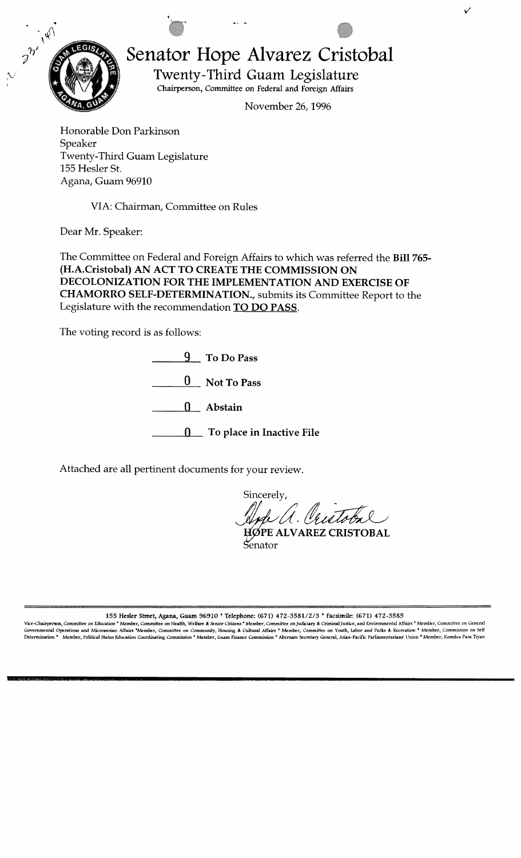

## **Senator Hope Alvarez Cristobal**

**Twenty-Third Guam Legislature**  <sup>I</sup>**Chairperson, Committee on Federal and Foreign Affairs** 

November 26,1996

Honorable Don Parkinson Speaker Twenty-Third Guam Legislature 155 Hesler St. Agana, Guam 96910

~ VIA: Chairman, Committee on Rules

Dear Mr. Speaker:

The Committee on Federal and Foreign Affairs to which was referred the **Bill 765- (H.A.Cristoba1) AN ACT TO CREATE THE COMMISSION ON DECOLONIZATION FOR THE IMPLEMENTATION AND EXERCISE OF CHAMORRO SELF-DETERMINATION.,** submits its Committee Report to the Legislature with the recommendation **TO DO PASS.** 

The voting record is as follows:

| To Do Pass                             |
|----------------------------------------|
| $0$ Not To Pass                        |
| () Abstain                             |
| $\mathbf{0}$ To place in Inactive File |

Attached are all pertinent documents for your review.

Sincerelv, A. Cristobal **FIØPE ALVAREZ CRISTOBAL**  $S$ enator

**<sup>155</sup>Hesler Street,** Agana, **Guam 96910** \* **Telephone: (671) 472-3581/2/3** \* **Facsimile: (671) 472-3585** 

Vice-Chairperson, Committee on Education \* Member, Committee on Health, Welfare & Senior Citizens \* Member, Committee on Judiciary & Criminal Justice, and Environmental Affairs \* Member, Committee on General Governmental Operations and Micronesian Affairs "Member, Committee on Community, Housing & Cultural Affairs " Member, Committee on Youth, Labor and Parks & Recreation " Member, Commission on Self<br>Determination " Member, Po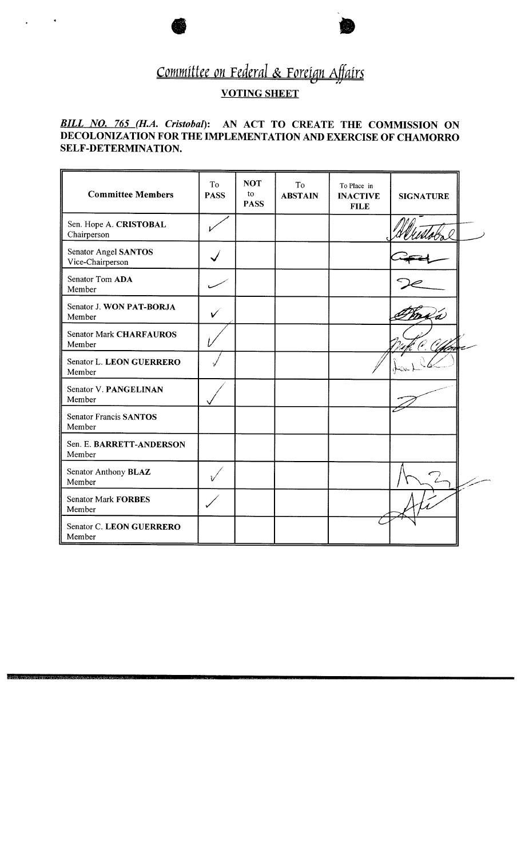# Committee on Federal & Foreign Affairs

### **VOTING SHEET**

### *BILL NO. 765* **(H.A.** *Cristobal):* **AN ACT TO CREATE THE COMMISSION ON DECOLONIZATION FOR THE IMPLEMENTATION AND EXERCISE OF CHAMORRO SELF-DETERMINATION.**

| <b>Committee Members</b>                        | To<br><b>PASS</b> | <b>NOT</b><br>to<br><b>PASS</b> | To<br><b>ABSTAIN</b> | To Place in<br><b>INACTIVE</b><br><b>FILE</b> | <b>SIGNATURE</b> |  |
|-------------------------------------------------|-------------------|---------------------------------|----------------------|-----------------------------------------------|------------------|--|
| Sen. Hope A. CRISTOBAL<br>Chairperson           |                   |                                 |                      |                                               |                  |  |
| <b>Senator Angel SANTOS</b><br>Vice-Chairperson |                   |                                 |                      |                                               |                  |  |
| Senator Tom ADA<br>Member                       |                   |                                 |                      |                                               |                  |  |
| Senator J. WON PAT-BORJA<br>Member              | V                 |                                 |                      |                                               |                  |  |
| <b>Senator Mark CHARFAUROS</b><br>Member        |                   |                                 |                      |                                               |                  |  |
| Senator L. LEON GUERRERO<br>Member              |                   |                                 |                      |                                               |                  |  |
| Senator V. PANGELINAN<br>Member                 |                   |                                 |                      |                                               |                  |  |
| <b>Senator Francis SANTOS</b><br>Member         |                   |                                 |                      |                                               |                  |  |
| Sen. E. BARRETT-ANDERSON<br>Member              |                   |                                 |                      |                                               |                  |  |
| Senator Anthony BLAZ<br>Member                  |                   |                                 |                      |                                               |                  |  |
| <b>Senator Mark FORBES</b><br>Member            |                   |                                 |                      |                                               |                  |  |
| Senator C. LEON GUERRERO<br>Member              |                   |                                 |                      |                                               |                  |  |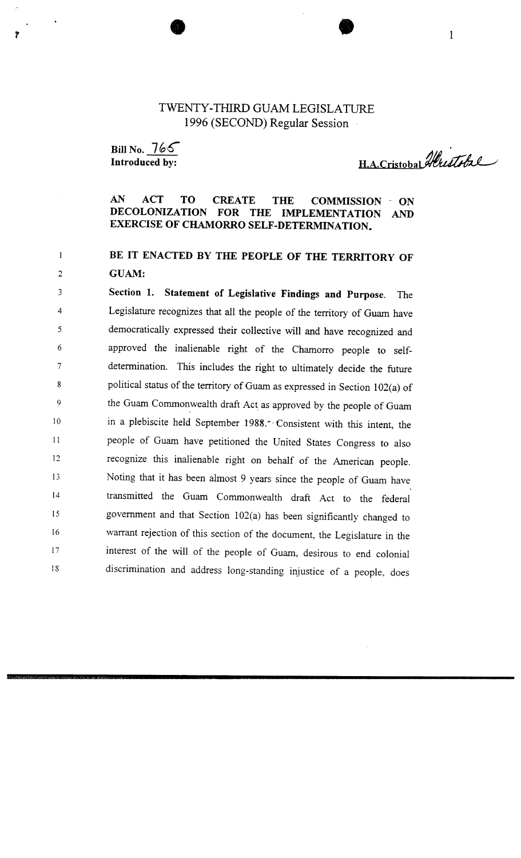### TWENTY-THIRD GUAM LEGISLATURE 1996 (SECOND) Regular Session

**Bill No.** 766 **Introduced by:** 

 $\mathbf{1}$ 

 $\overline{2}$ 

H.A.Cristobal Alrestobal

### **AN ACT TO CREATE THE COMMISSION** - **ON DECOLOMZATION FOR THE IMPLEMENTATION** *AND* **EXERCISE OF CHAMORRO SELF-DETERMINATION.**

### BE IT ENACTED BY THE PEOPLE OF THE TERRITORY OF **GUAM:**

**Section 1. Statement of Legislative Findings and Purpose.** The 3 Legislature recognizes that all the people of the territory of Guam have  $\boldsymbol{\Delta}$ democratically expressed their collective will and have recognized and 5 approved the inalienable right of the Charnorro people to self-6 determination. This includes the right to ultimately decide the future  $\overline{7}$ political status of the territory of Guam as expressed in Section 102(a) of  $\mathbf{g}$ the Guam Commonwealth draft Act as approved by the people of Guam  $\overline{Q}$ in a plebiscite held September 1988."- Consistent with this intent, the  $10\,$ people of Guam have petitioned the United States Congress to also  $11$ recognize this inalienable right on behalf of the American people. 12 Noting that it has been almost 9 years since the people of Guam have 13 transmitted the Guam Commonwealth draft Act to the federal  $14$ government and that Section 102(a) has been significantly changed to 15 warrant rejection of this section of the document, the Legislature in the 16 interest of the will of the people of Guam, desirous to end colonial  $17$ discrimination and address long-standing injustice of a people, does 18

 $\mathbf{1}$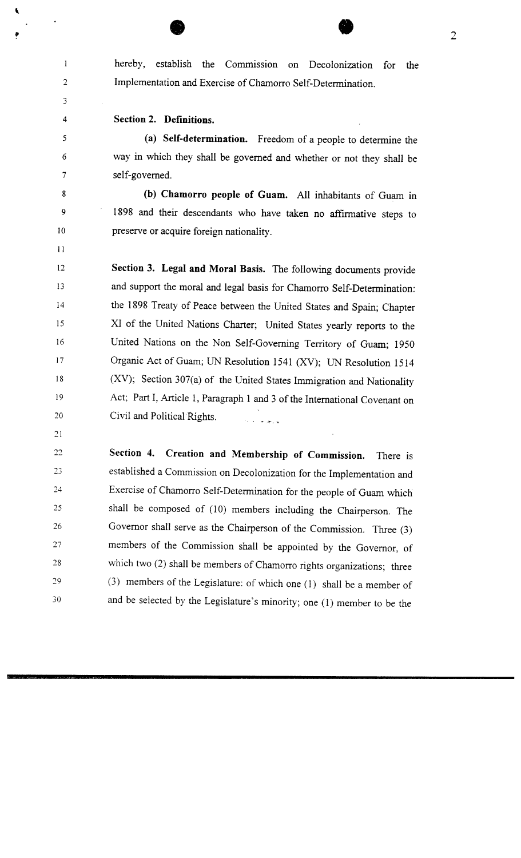hereby, establish the Commission on Decolonization for the Implementation and Exercise of Chamorro Self-Determination.

#### **Section 2. Definitions.**

**(a) Self-determination.** Freedom of a people to determine the way in which they shall be governed and whether or not they shall be self-governed.

(b) Chamorro people of Guam. All inhabitants of Guam in 1898 and their descendants who have taken no affirmative steps to preserve or acquire foreign nationality.

**Section 3. Legal and Moral Basis.** The following documents provide and support the moral and legal basis for Chamorro Self-Determination: the 1898 Treaty of Peace between the United States and Spain; Chapter XI of the United Nations Charter; United States yearly reports to the United Nations on the Non Self-Governing Territory of Guam; 1950 Organic Act of Guam; UN Resolution 1541 (XV); UN Resolution 1514 (XV); Section 307(a) of the United States Immigration and Nationality Act; Part I, Article 1, Paragraph 1 and 3 of the International Covenant on Civil and Political Rights.

20 21

 $\mathbf{l}$ 

 $\overline{2}$ 

3

 $\overline{\mathbf{A}}$ 

5

6  $\overline{7}$ 

8

9

10

 $11$ 

12

13

14

15

16

 $17$ 

18

19

**Section 4. Creation and Membership of Commission.** There is 22 established a Commission on Decolonization for the Implementation and 23 Exercise of Chamorro Self-Determination for the people of Guam which 24 shall be composed of (10) members including the Chairperson. The 25 Governor shall serve as the Chairperson of the Commission. Three (3) 26 members of the Commission shall be appointed by the Governor, of  $27$ which two (2) shall be members of Chamorro rights organizations; three  $2\sqrt{8}$  $29\,$ (3) members of the Legislature: of which one (1) shall be a member of and be selected by the Legislature's minority; one (1) member to be the 30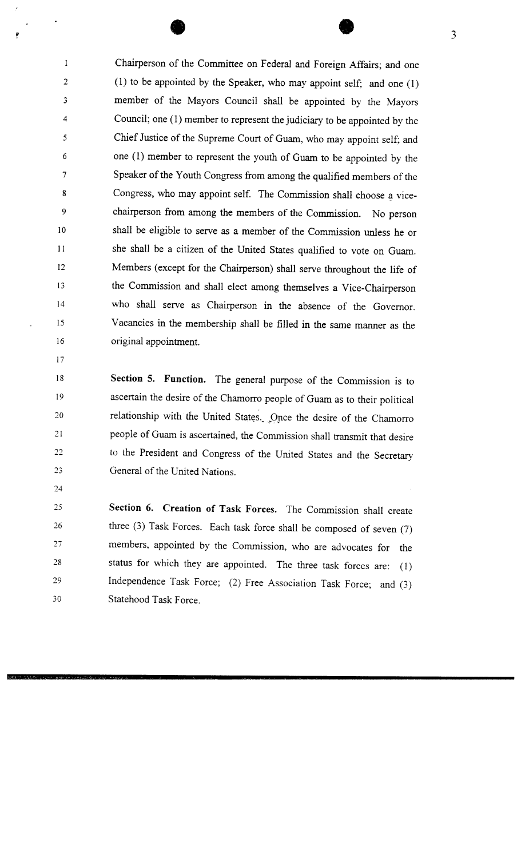Chairperson of the Committee on Federal and Foreign Affairs; and one (1) to be appointed by the Speaker, who may appoint self; and one (1) member of the Mayors Council shall be appointed by the Mayors Council; one (1) member to represent the judiciary to be appointed by the Chief Justice of the Supreme Court of Guam, who may appoint self; and one (1) member to represent the youth of Guam to be appointed by the Speaker of the Youth Congress from among the qualified members of the Congress, who may appoint self. The Commission shall choose a vicechairperson from among the members of the Commission. No person shall be eligible to serve as a member of the Commission unless he or she shall be a citizen of the United States qualified to vote on Guam. Members (except for the Chairperson) shall serve throughout the life of the Commission and shall elect among themselves a Vice-Chairperson who shall serve as Chairperson in the absence of the Governor. Vacancies in the membership shall be filled in the same manner as the original appointment.

 $\mathbf{I}$ 

 $\overline{2}$ 

 $\overline{\mathbf{3}}$ 

 $\overline{4}$ 

5

6

 $\overline{7}$ 

8

9

10

 $11$ 

 $12$ 

13

 $14$ 

15

16

 $17$ 

 $18\,$ 

19

20

21

22

23

24

**Section 5. Function.** The general purpose of the Commission is to ascertain the desire of the Chamorro people of Guam as to their political relationship with the United States. Once the desire of the Chamorro people of Guam is ascertained, the Commission shall transmit that desire to the President and Congress of the United States and the Secretary General of the United Nations.

**Section 6. Creation of Task Forces.** The Commission shall create 25 three (3) Task Forces. Each task force shall be composed of seven (7) 26 27 members, appointed by the Commission, who are advocates for the status for which they are appointed. The three task forces are: (1) 28 Independence Task Force; (2) Free Association Task Force; and (3) 29 Statehood Task Force. 30